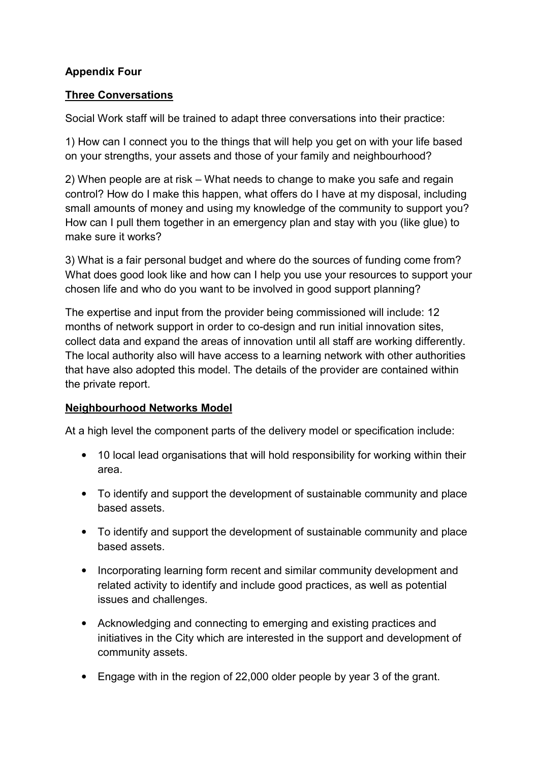## **Appendix Four**

### **Three Conversations**

Social Work staff will be trained to adapt three conversations into their practice:

1) How can I connect you to the things that will help you get on with your life based on your strengths, your assets and those of your family and neighbourhood?

2) When people are at risk – What needs to change to make you safe and regain control? How do I make this happen, what offers do I have at my disposal, including small amounts of money and using my knowledge of the community to support you? How can I pull them together in an emergency plan and stay with you (like glue) to make sure it works?

3) What is a fair personal budget and where do the sources of funding come from? What does good look like and how can I help you use your resources to support your chosen life and who do you want to be involved in good support planning?

The expertise and input from the provider being commissioned will include: 12 months of network support in order to co-design and run initial innovation sites, collect data and expand the areas of innovation until all staff are working differently. The local authority also will have access to a learning network with other authorities that have also adopted this model. The details of the provider are contained within the private report.

# **Neighbourhood Networks Model**

At a high level the component parts of the delivery model or specification include:

- 10 local lead organisations that will hold responsibility for working within their area.
- To identify and support the development of sustainable community and place based assets.
- To identify and support the development of sustainable community and place based assets.
- Incorporating learning form recent and similar community development and related activity to identify and include good practices, as well as potential issues and challenges.
- Acknowledging and connecting to emerging and existing practices and initiatives in the City which are interested in the support and development of community assets.
- Engage with in the region of 22,000 older people by year 3 of the grant.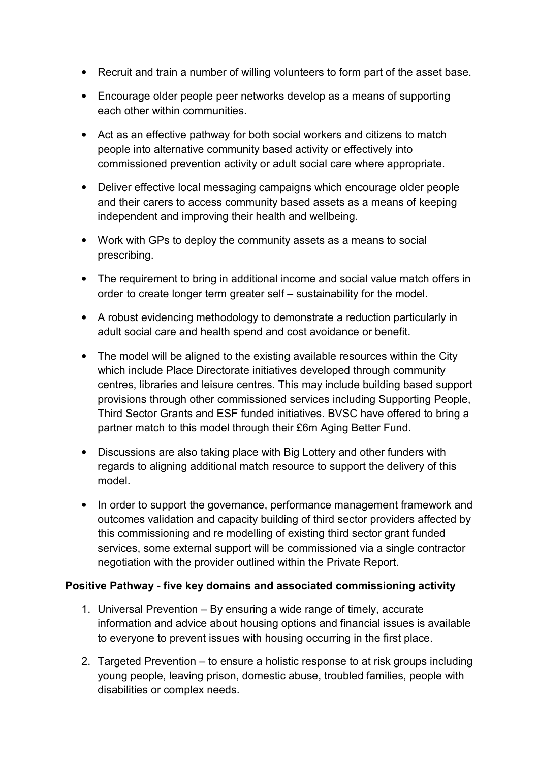- Recruit and train a number of willing volunteers to form part of the asset base.
- Encourage older people peer networks develop as a means of supporting each other within communities.
- Act as an effective pathway for both social workers and citizens to match people into alternative community based activity or effectively into commissioned prevention activity or adult social care where appropriate.
- Deliver effective local messaging campaigns which encourage older people and their carers to access community based assets as a means of keeping independent and improving their health and wellbeing.
- Work with GPs to deploy the community assets as a means to social prescribing.
- The requirement to bring in additional income and social value match offers in order to create longer term greater self – sustainability for the model.
- A robust evidencing methodology to demonstrate a reduction particularly in adult social care and health spend and cost avoidance or benefit.
- The model will be aligned to the existing available resources within the City which include Place Directorate initiatives developed through community centres, libraries and leisure centres. This may include building based support provisions through other commissioned services including Supporting People, Third Sector Grants and ESF funded initiatives. BVSC have offered to bring a partner match to this model through their £6m Aging Better Fund.
- Discussions are also taking place with Big Lottery and other funders with regards to aligning additional match resource to support the delivery of this model.
- In order to support the governance, performance management framework and outcomes validation and capacity building of third sector providers affected by this commissioning and re modelling of existing third sector grant funded services, some external support will be commissioned via a single contractor negotiation with the provider outlined within the Private Report.

### **Positive Pathway - five key domains and associated commissioning activity**

- 1. Universal Prevention By ensuring a wide range of timely, accurate information and advice about housing options and financial issues is available to everyone to prevent issues with housing occurring in the first place.
- 2. Targeted Prevention to ensure a holistic response to at risk groups including young people, leaving prison, domestic abuse, troubled families, people with disabilities or complex needs.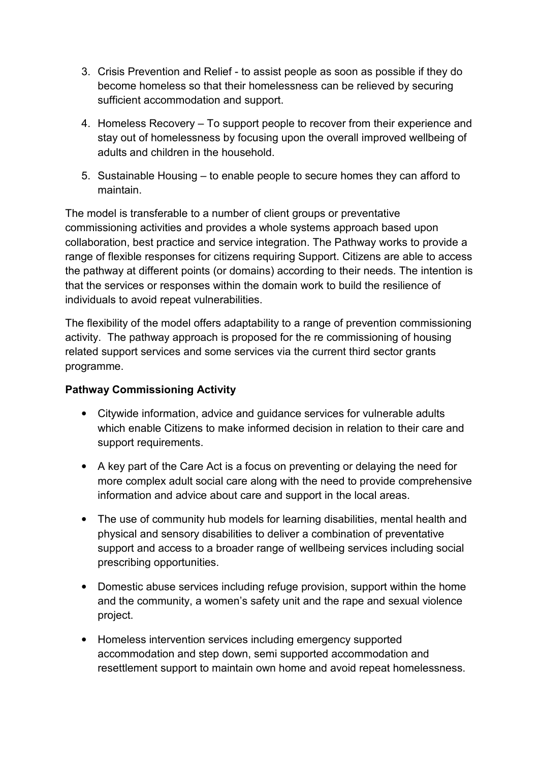- 3. Crisis Prevention and Relief to assist people as soon as possible if they do become homeless so that their homelessness can be relieved by securing sufficient accommodation and support.
- 4. Homeless Recovery To support people to recover from their experience and stay out of homelessness by focusing upon the overall improved wellbeing of adults and children in the household.
- 5. Sustainable Housing to enable people to secure homes they can afford to maintain.

The model is transferable to a number of client groups or preventative commissioning activities and provides a whole systems approach based upon collaboration, best practice and service integration. The Pathway works to provide a range of flexible responses for citizens requiring Support. Citizens are able to access the pathway at different points (or domains) according to their needs. The intention is that the services or responses within the domain work to build the resilience of individuals to avoid repeat vulnerabilities.

The flexibility of the model offers adaptability to a range of prevention commissioning activity. The pathway approach is proposed for the re commissioning of housing related support services and some services via the current third sector grants programme.

### **Pathway Commissioning Activity**

- Citywide information, advice and guidance services for vulnerable adults which enable Citizens to make informed decision in relation to their care and support requirements.
- A key part of the Care Act is a focus on preventing or delaying the need for more complex adult social care along with the need to provide comprehensive information and advice about care and support in the local areas.
- The use of community hub models for learning disabilities, mental health and physical and sensory disabilities to deliver a combination of preventative support and access to a broader range of wellbeing services including social prescribing opportunities.
- Domestic abuse services including refuge provision, support within the home and the community, a women's safety unit and the rape and sexual violence project.
- Homeless intervention services including emergency supported accommodation and step down, semi supported accommodation and resettlement support to maintain own home and avoid repeat homelessness.